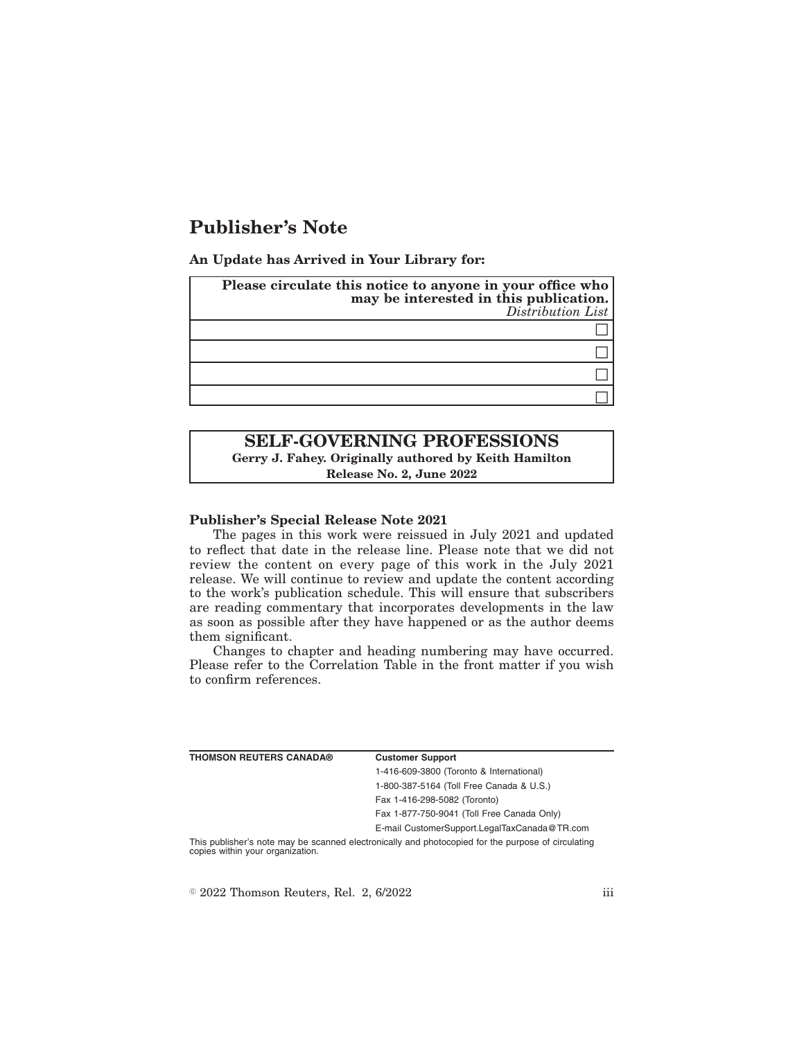# **Publisher's Note**

**An Update has Arrived in Your Library for:**

| Please circulate this notice to anyone in your office who<br>may be interested in this publication.<br>Distribution List |
|--------------------------------------------------------------------------------------------------------------------------|
|                                                                                                                          |
|                                                                                                                          |
|                                                                                                                          |
|                                                                                                                          |

# **SELF-GOVERNING PROFESSIONS Gerry J. Fahey. Originally authored by Keith Hamilton**

**Release No. 2, June 2022**

## **Publisher's Special Release Note 2021**

The pages in this work were reissued in July 2021 and updated to reflect that date in the release line. Please note that we did not review the content on every page of this work in the July 2021 release. We will continue to review and update the content according to the work's publication schedule. This will ensure that subscribers are reading commentary that incorporates developments in the law as soon as possible after they have happened or as the author deems them significant.

Changes to chapter and heading numbering may have occurred. Please refer to the Correlation Table in the front matter if you wish to confirm references.

| <b>THOMSON REUTERS CANADA®</b>   | <b>Customer Support</b>                                                                            |
|----------------------------------|----------------------------------------------------------------------------------------------------|
|                                  | 1-416-609-3800 (Toronto & International)                                                           |
|                                  | 1-800-387-5164 (Toll Free Canada & U.S.)                                                           |
|                                  | Fax 1-416-298-5082 (Toronto)                                                                       |
|                                  | Fax 1-877-750-9041 (Toll Free Canada Only)                                                         |
|                                  | E-mail CustomerSupport.LegalTaxCanada@TR.com                                                       |
| copies within your organization. | This publisher's note may be scanned electronically and photocopied for the purpose of circulating |

 $\degree$  2022 Thomson Reuters, Rel. 2, 6/2022 iii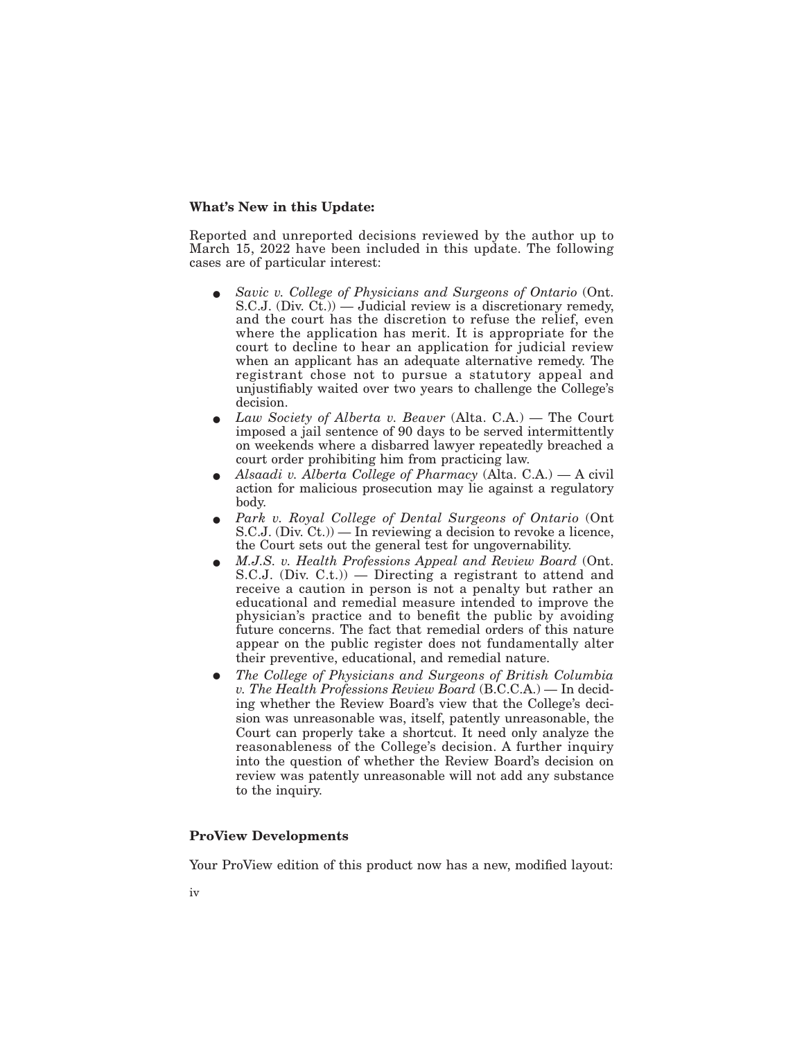#### **What's New in this Update:**

Reported and unreported decisions reviewed by the author up to March 15, 2022 have been included in this update. The following cases are of particular interest:

- E *Savic v. College of Physicians and Surgeons of Ontario* (Ont. S.C.J. (Div.  $C_t$ )) — Judicial review is a discretionary remedy, and the court has the discretion to refuse the relief, even where the application has merit. It is appropriate for the court to decline to hear an application for judicial review when an applicant has an adequate alternative remedy. The registrant chose not to pursue a statutory appeal and unjustifiably waited over two years to challenge the College's decision.
- Law Society of Alberta v. Beaver (Alta. C.A.) The Court imposed a jail sentence of 90 days to be served intermittently on weekends where a disbarred lawyer repeatedly breached a court order prohibiting him from practicing law.
- E *Alsaadi v. Alberta College of Pharmacy* (Alta. C.A.) A civil action for malicious prosecution may lie against a regulatory body.
- E *Park v. Royal College of Dental Surgeons of Ontario* (Ont S.C.J. (Div. Ct.)) — In reviewing a decision to revoke a licence, the Court sets out the general test for ungovernability.
- E *M.J.S. v. Health Professions Appeal and Review Board* (Ont. S.C.J. (Div. C.t.)) — Directing a registrant to attend and receive a caution in person is not a penalty but rather an educational and remedial measure intended to improve the physician's practice and to benefit the public by avoiding future concerns. The fact that remedial orders of this nature appear on the public register does not fundamentally alter their preventive, educational, and remedial nature.
- E *The College of Physicians and Surgeons of British Columbia v. The Health Professions Review Board* (B.C.C.A.) — In deciding whether the Review Board's view that the College's decision was unreasonable was, itself, patently unreasonable, the Court can properly take a shortcut. It need only analyze the reasonableness of the College's decision. A further inquiry into the question of whether the Review Board's decision on review was patently unreasonable will not add any substance to the inquiry.

### **ProView Developments**

Your ProView edition of this product now has a new, modified layout: